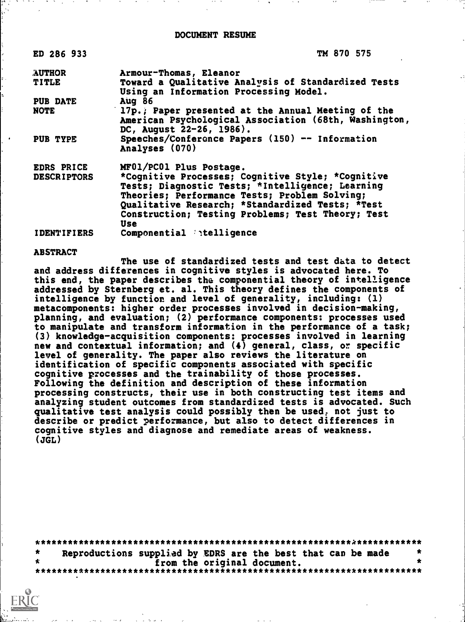| ED 286 933         | TM 870 575                                            |
|--------------------|-------------------------------------------------------|
| <b>AUTHOR</b>      | Armour-Thomas, Eleanor                                |
| <b>TITLE</b>       | Toward a Qualitative Analysis of Standardized Tests   |
|                    | Using an Information Processing Model.                |
| <b>PUB DATE</b>    | Aug $86$                                              |
| <b>NOTE</b>        | 17p.; Paper presented at the Annual Meeting of the    |
|                    | American Psychological Association (68th, Washington, |
|                    | DC, August 22-26, 1986).                              |
| PUB TYPE           | Speeches/Conference Papers (150) -- Information       |
|                    | Analyses (070)                                        |
| <b>EDRS PRICE</b>  | MF01/PC01 Plus Postage.                               |
| <b>DESCRIPTORS</b> | *Cognitive Processes; Cognitive Style; *Cognitive     |
|                    | Tests; Diagnostic Tests; *Intelligence; Learning      |
|                    | Theories; Performance Tests; Problem Solving;         |
|                    | Qualitative Research; *Standardized Tests; *Test      |
|                    | Construction; Testing Problems; Test Theory; Test     |
|                    | Use                                                   |
|                    |                                                       |

IDENTIFIERS Componential 'itelligence

# ABSTRACT

The use of standardized tests and test data to detect and address differences in cognitive styles is advocated here. To this end, the paper describes the componential theory of intelligence addressed by Sternberg et. al. This theory defines the components of intelligence by function and level of generality, including: (1) metacomponents: higher order processes involved in decision-making, planning, and evaluation; (2) performance components: processes used to manipulate and transform information in the performance of a task; (3) knowledge-acquisition components: processes involved in learning new and contextual information; and (4) general, class, or specific level of generality. The paper also reviews the literature on identification of specific components associated with specific cognitive processes and the trainability of those processes. Following the definition and description of these information processing constructs, their use in both constructing test items and analyzing student outcomes from standardized tests is advocated. Such qualitative test analysis could possibly then be used, not just to describe or predict performance, but also to detect differences in cognitive styles and diagnose and remediate areas of weakness.  $(JGL)$ 

\*\*\*\*\*\*\*\*\*\*\*\*\*\*\*\*\*\*\*\*\*\*\*\*\*\*\*\*\*\*\*\*\*\*\*\*\*\*\*\*\*\*\*\*\*\*\*\*\*\*\*\*\*\*\*\*\*\*k\*\*\*\*\*\*\*\*\*\*\*\* Reproductions supplied by EDRS are the best that can be made<br>from the original document. from the original document. \*\*\*\*\*\*\*\*\*\*\*\*\*\*\*\*\*\*\*\*\*\*\*\*\*\*\*\*\*\*\*\*\*\*\*\*\*\*\*\*\*\*\*\*\*\*\*\*\*\*\*\*\*\*\*\*\*\*\*\*\*\*\*\*\*\*\*\*\*\*\*

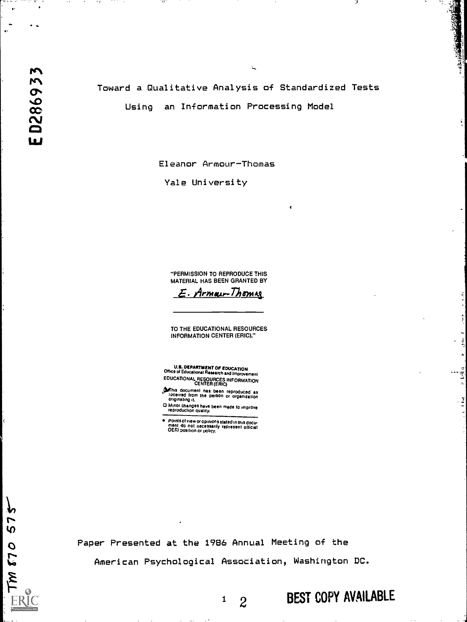$^{\circ}$  1

72

<del>.</del> . . .

 $\bullet$ 

Toward a Qualitative Analysis of Standardized Tests Using an Information Processing Model

 $\epsilon$ 

 $\ddot{z}$ 

 $\frac{1}{2}$ A

 $\sim 1/6$  a

 $\frac{1}{2}$ 

Eleanor Armour-Thomas

Yale University

"PERMISSION TO REPRODUCE THIS MATERIAL HAS BEEN GRANTED BY

E. Armour-Thomas

TO THE EDUCATIONAL RESOURCES INFORMATION CENTER (ERIC)."

U.S. DEPARTMENT OF EDUCATION<br>Office of Educational Research and Improvement EDUCATIONAL RESOURCES INFORMATION CENTER (ERIC)

**OF this document has been reproduced as<br>foceived from the person or organization**<br>originating it.

O Minor changes have been made to improve<br>reproduction quality.

points of view or opinions slated in this docu-ment do not necessarily represent official OER! position or policy.

Paper Presented at the 1986 Annual Meeting of the

American Psychological Association, Washington DC.

BEST COPY AVAILABLE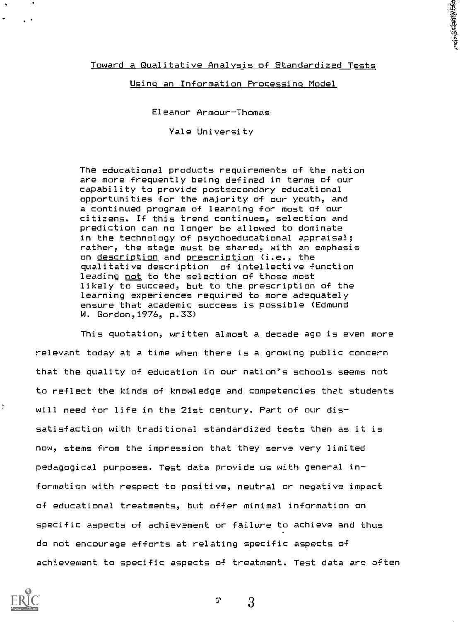Toward a Qualitative Analysis of Standardized Tests

大学 あままある

Using an Information Processing Model

Eleanor Armour-Thomas

Yale University

The educational products requirements of the nation are more frequently being defined in terms of our capability to provide postsecondary educational opportunities for the majority of our youth, and a continued program of learning for most of our citizens. If this trend continues, selection and prediction can no longer be allowed to dominate in the technology of psychoeducational appraisal; rather, the stage must be shared, with an emphasis on description and prescription (i.e., the qualitative description of intellective function leading not to the selection of those most likely to succeed, but to the prescription of the learning experiences required to more adequately ensure that academic success is possible (Edmund W. Gordon,1976, p.33)

This quotation, written almost a decade ago is even more relevant today at a time when there is a growing public concern that the quality of education in our nation's schools seems not to reflect the kinds of knowledge and competencies that students will need +or life in the 21st century. Part of our dissatisfaction with traditional standardized tests then as it is now, stems from the impression that they serve very limited pedagogical purposes. Test data provide us with general information with respect to positive, neutral or negative impact of educational treatments, but offer minimal information on specific aspects of achievement or failure to achieve and thus do not encourage efforts at relating specific aspects of achievement to specific aspects of treatment. Test data arc often



2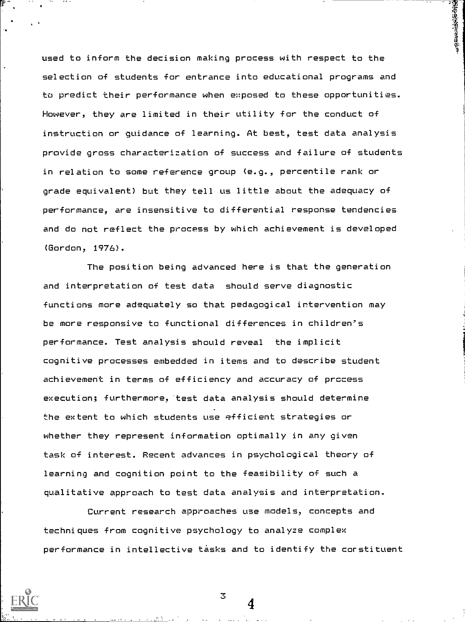used to inform the decision making process with respect to the selection of students for entrance into educational programs and to predict their performance when exposed to these opportunities. However, they are limited in their utility for the conduct of instruction or guidance of learning. At best, test data analysis provide gross characterization of success and failure of students in relation to some reference group (e.g., percentile rank or grade equivalent) but they tell us little about the adequacy of performance, are insensitive to differential response tendencies and do not reflect the process by which achievement is developed (Gordon, 1976).

The position being advanced here is that the generation and interpretation of test data should serve diagnostic functions more adequately so that pedagogical intervention may be more responsive to functional differences in children's performance. Test analysis should reveal the implicit cognitive processes embedded in items and to describe student achievement in terms of efficiency and accuracy of process execution; furthermore, test data analysis should determine the extent to which students use efficient strategies or whether they represent information optimally in any given task of interest. Recent advances in psychological theory of learning and cognition point to the feasibility of such a qualitative approach to test data analysis and interpretation.

Current research approaches use models, concepts and techniques from cognitive psychology to analyze complex performance in intellective tasks and to identify the corstituent

3

., .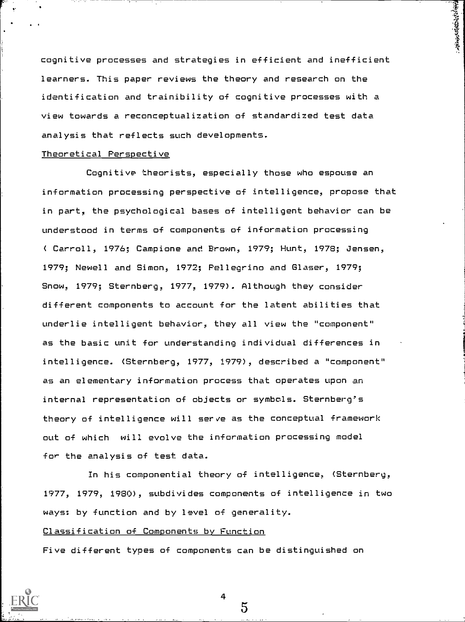cognitive processes and strategies in efficient and inefficient learners. This paper reviews the theory and research on the identification and trainibility of cognitive processes with a view towards a reconceptualization of standardized test data analysis that reflects such developments.

おものの あいまく あいまく

# Theoretical Perspective

Cognitive theorists, especially those who espouse an information processing perspective of intelligence, propose that in part, the psychological bases of intelligent behavior can be understood in terms of components of information processing ( Carroll, 1976; Campione and Brown, 1979; Hunt, 1978; Jensen, 1979; Newell and Simon, 1972; Pellegrino and Glaser, 1979; Snow, 1979; Sternberg, 1977, 1979). Although they consider different components to account for the latent abilities that underlie intelligent behavior, they all view the "component" as the basic unit for understanding individual differences in intelligence. (Sternberg, 1977, 1979), described a "component" as an elementary information process that operates upon an internal representation of objects or symbols. Sternberg's theory of intelligence will serve as the conceptual framework out of which will evolve the information processing model for the analysis of test data

In his componential theory of intelligence, (Sternberg, 15'77, 1979, 1980), subdivides components of intelligence in two ways: by function and by level of generality.

# Classification of Components by Function

Five different types of components can be distinguished on

4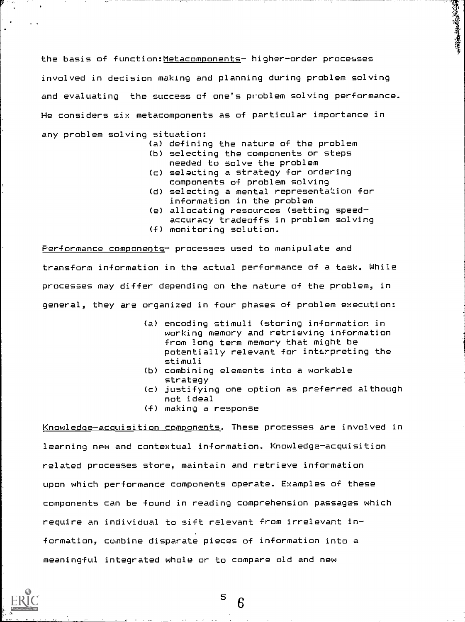the basis of function: Metacomponents- higher-order processes involved in decision making and planning during problem solving and evaluating the success of one's problem solving performance. He considers six metacomponents as of particular importance in any problem solving situation:

(a) defining the nature of the problem

「大阪のあるとものの

- (b) selecting the components or steps needed to solve the problem
- (c) selecting a strategy for ordering components of problem solving
- (d) selecting a mental representation for information in the problem
- (e) allocating resources (setting speedaccuracy tradeoffs in problem solving
- (f) monitoring solution.

Performance components- processes used to manipulate and transform information in the actual performance of a task. While processes may differ depending on the nature of the problem, in general, they are organized in four phases of problem execution:

- (a) encoding stimuli (storing information in working memory and retrieving information from long term memory that might be potentially relevant for interpreting the stimuli
- (b) combining elements into a workable strategy
- (c) justifying one option as preferred although not ideal
- $(f)$  making a response

Knowledge-acquisition components. These processes are involved in learning new and contextual information. Knowledge-acquisition related processes store, maintain and retrieve information upon which performance components operate. Examples of these components can be found in reading comprehension passages which require an individual to sift relevant from irrelevant information, combine disparate pieces of information into a meaningful integrated whole or to compare old and new



 $5\degree$   $\degree$ 6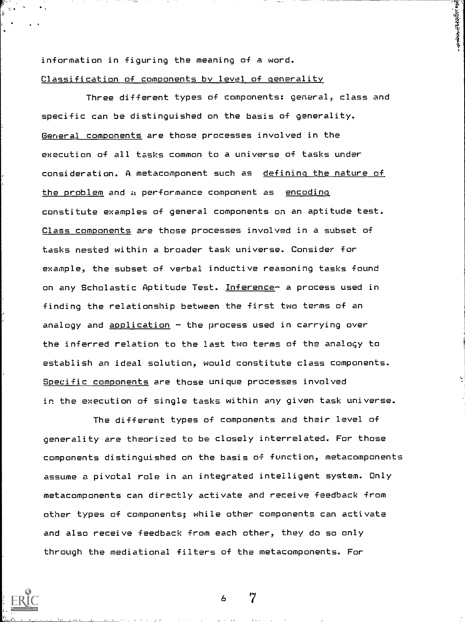information in figuring the meaning of a word. Classification of components by level of generality 1、全文学的学生学生

Three different types of components: general, class and specific can be distinguished on the basis of generality. General components are those processes involved in the execution of all tasks common to a universe of tasks under consideration. A metacomponent such as defining the nature of the problem and a performance component as encoding constitute examples of general components on an aptitude test. Class components are those processes involved in a subset of tasks nested within a broader task universe. Consider for example, the subset of verbal inductive reasoning tasks found on any Scholastic Aptitude Test. Inference- a process used in finding the relationship between the first two terms of an analogy and  $application - the process used in carrying over$ the inferred relation to the last two terms of the analogy to establish an ideal solution, would constitute class components. Specific components are those unique processes involved in the execution of single tasks within any given task universe.

The different types of components and their level of generality are theorized to be closely interrelated. For those components distinguished on the basis of function, metacomponents assume a pivotal role in an integrated intelligent system. Only metacomponents can directly activate and receive feedback from other types of components; while other components can activate and also receive feedback from each other, they do so only through the mediational filters of the metacomponents. For

 $\overline{a}$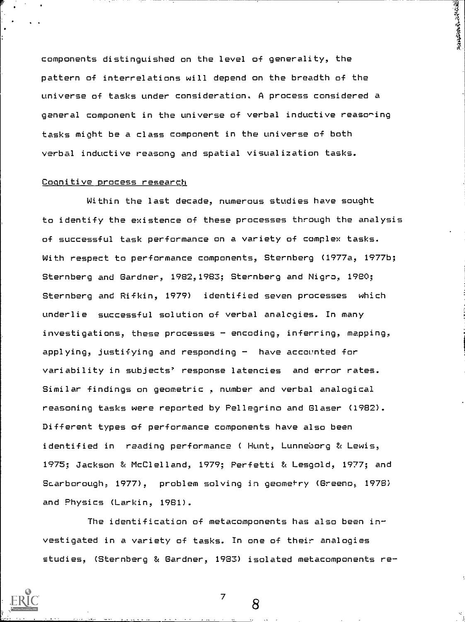components distinguished on the level of generality, the pattern of interrelations will depend on the breadth of the universe of tasks under consideration. A process considered a general component in the universe of verbal inductive reaso^ing tasks might be a class component in the universe of both verbal inductive reasong and spatial visualization tasks.

**WARRANT CAPITAL** 

#### Cognitive process research

Within the last decade, numerous studies have sought to identify the existence of these processes through the analysis of successful task performance on a variety of complex tasks. With respect to performance components, Sternberg (1977a, 1977b; Sternberg and Gardner, 1982,1983; Sternberg and Nigro, 1980; Sternberg and Rifkin, 1979) identified seven processes which underlie successful solution of verbal analogies. In many investigations, these processes  $-$  encoding, inferring, mapping, applying, justifying and responding  $-$  have accounted for variability in subjects' response latencies and error rates. Similar findings on geometric , number and verbal analogical reasoning tasks were reported by Pellegrino and Glaser (1982). Different types of performance components have also been identified in reading performance ( Hunt, Lunneborg & Lewis, 1975; Jackson & McClelland, 1979; Perfetti & Lesgold, 1977; and Scarborough, 1977), problem solving in geometry (Greeno, 1978) and Physics (Larkin, 1981).

The identification of metacomponents has also been investigated in a variety of tasks. In one of their analogies studies, (Sternberg & Gardner, 1933) isolated metacomponents re-

 $7 \quad \circ$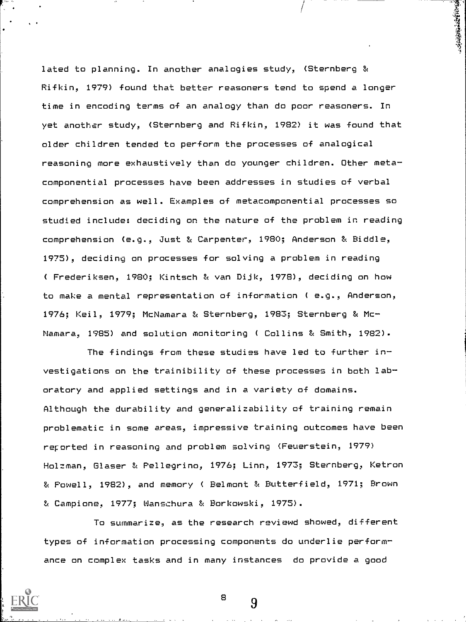lated to planning. In another analogies study, (Sternberg & Rifkin, 1979) found that better reasoners tend to spend a longer time in encoding terms of an analogy than do poor reasoners. In yet another study, (Sternberg and Rifkin, 1980 it was found that older children tended to perform the processes of analogical reasoning more exhaustively than do younger children. Other metacomponential processes have been addresses in studies of verbal comprehension as well. Examples of metacomponential processes so studied include: deciding on the nature of the problem in reading comprehension (e.g., Just & Carpenter, 1980; Anderson & Biddle, 1975), deciding on processes for solving a problem in reading ( Frederiksen, 1980; Kintsch & van Dijk, 1978), deciding on how to make a mental representation of information ( e.g., Anderson, 1976; Keil, 1979; McNamara & Sternberg, 1983; Sternberg & Mc-Namara, 1985) and solution monitoring ( Collins & Smith, 1982).

**Kingdomagenter** 

The findings from these studies have led to further investigations on the trainibility of these processes in both laboratory and applied settings and in a variety of domains. Although the durability and generalizability of training remain problematic in some areas, impressive training outcomes have been reported in reasoning and problem solving (Feuerstein, 1979) Holzman, Glaser & Pellegrino, 1976; Linn, 1973; Sternberg, Ketron & Powell, 1982) , and memory ( Belmont & Butterfield, 1971; Brown & Campione, 1977; Wanschura & Borkowski, 1975).

To summarize, as the research reviewd showed, different types of information processing components do underlie performance on complex tasks and in many instances do provide a good

8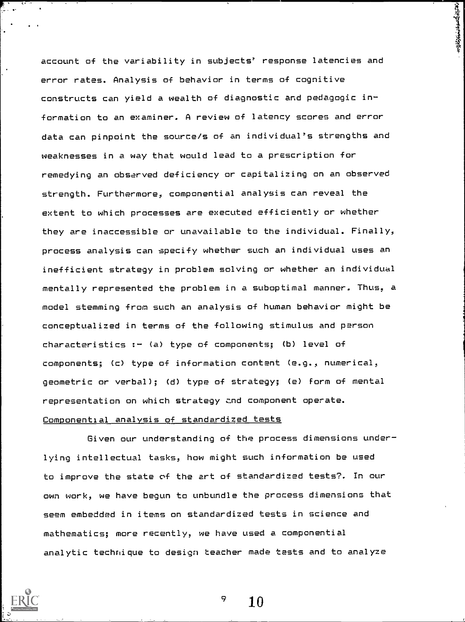account of the variability in subjects' response latencies and error rates. Analysis of behavior in terms of cognitive constructs can yield a wealth of diagnostic and pedagogic information to an examiner. A review of latency scores and error data can pinpoint the source/s of an individual's strengths and weaknesses in a way that would lead to a prescription for remedying an observed deficiency or capitalizing on an observed strength. Furthermore, componential analysis can reveal the extent to which processes are executed efficiently or whether they are inaccessible or unavailable to the individual. Finally, process analysis can specify whether such an individual uses an inefficient strategy in problem solving or whether an individual mentally represented the problem in a suboptimal manner. Thus, a model stemming from such an analysis of human behavior might be conceptualized in terms of the following stimulus and person characteristics :- (a) type of components; (b) level of components; (c) type of information content (e.g., numerical, geometric or verbal); (d) type of strategy; (e) form of mental representation on which strategy znd component operate. Componential analysis of standardized tests

**Andrew Production** 

Given our understanding of the process dimensions underlying intellectual tasks, how might such information be used to improve the state vf the art of standardized tests?. In our own work, we have begun to unbundle the process dimensions that seem embedded in items on standardized tests in science and mathematics; more recently, we have used a componential analytic technique to design teacher made tests and to analyze



10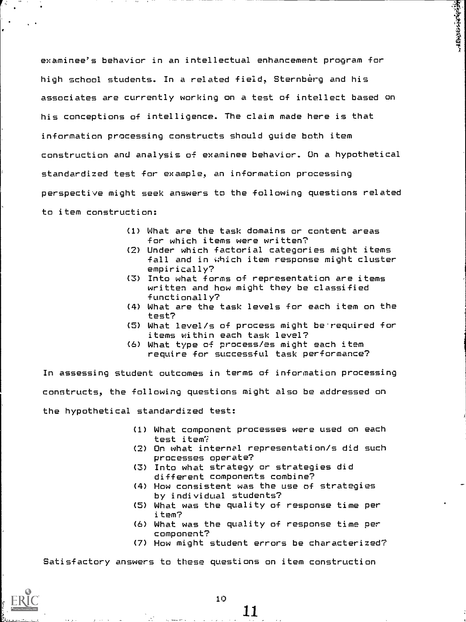examinee's behavior in an intellectual enhancement program for high school students. In a related field, Sternberg and his associates are currently working on a test of intellect based on his conceptions of intelligence. The claim made here is that information processing constructs should guide both item construction and analysis of examinee behavior. On a hypothetical standardized test for example, an information processing perspective might seek answers to the following questions related to item construction:

- (1) What are the task domains or content areas for which items were written?
- (2) Under which factorial categories might items fall and in which item response might cluster empirically?

**Historical Hall** 

- (3) Into what forms of representation are items written and how might they be classified functionally?
- (4) What are the task levels for each item on the test?
- (5) What level/s of process might be.required for items within each task level?
- (6) What type 0+ process/es might each item require for successful task performance?

In assessing student outcomes in terms of information processing constructs, the following questions might also be addressed on the hypothetical standardized test:

- (1) What component processes were used on each test item?
- (2) On what internal representation/s did such processes operate?
- (3) Into what strategy or strategies did different components combine?
- (4) How consistent was the use of strategies by individual students?
- (5) What was the quality of response time per item?
- (6) What was the quality of response time per component?
- (7) How might student errors be characterized?

Satisfactory answers to these questions on item construction

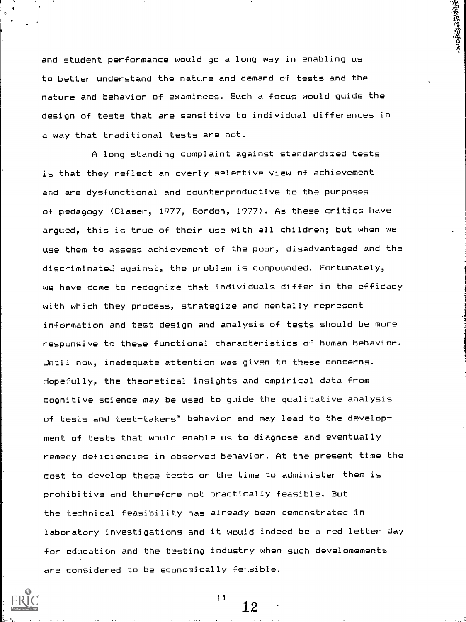and student performance would go a long way in enabling us to better understand the nature and demand of tests and the nature and behavior of examinees. Such a focus would guide the design of tests that are sensitive to individual differences in a way that traditional tests are not.

**1990年1月1日 1月1日** 

A long standing complaint against standardized tests is that they reflect an overly selective view of achievement and are dysfunctional and counterproductive to the purposes of pedagogy (Glaser, 1977, Gordon, 1977). As these critics have argued, this is true of their use with all children; but when we use them to assess achievement of the poor, disadvantaged and the discriminated against, the problem is compounded. Fortunately, we have come to recognize that individuals differ in the efficacy with which they process, strategize and mentally represent information and test design and analysis of tests should be more responsive to these functional characteristics of human behavior. Until now, inadequate attention was given to these concerns. Hopefully, the theoretical insights and empirical data from cognitive science may be used to guide the qualitative analysis of tests and test-takers' behavior and may lead to the development of tests that would enable us to diagnose and eventually remedy deficiencies in observed behavior. At the present time the cost to develop these tests or the time to administer them is prohibitive and therefore not practically feasible. But the technical feasibility has already been demonstrated in laboratory investigations and it would indeed be a red letter day for education and the testing industry when such develomements are considered to be economically feisible.

 $11$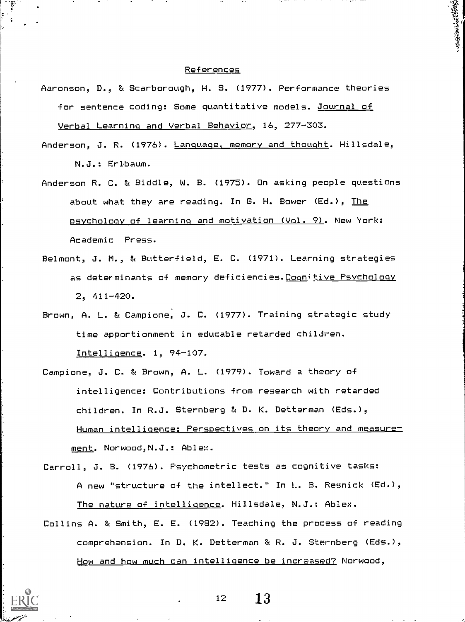### References

্বর্

- Aaronson, D., & Scarborough, H. S. (1977). Performance theories for sentence coding: Some quantitative models. Journal of Verbal Learning and Verbal Behavior, 16, 277-303.
- Anderson, J. R. (1976). Language, memory and thought. Hillsdale, N.J.: Erlbaum.
- Anderson R. C. & Biddle, W. B. (1975). On asking people questions about what they are reading. In G. H. Bower (Ed.), The psychology of learning and motivation (Vol. 9). New 'York: Academic Press.
- Belmont, J. M., & Butterfield, E. C. (1971). Learning strategies as determinants of memory deficiencies.Cognitive Psychology 2, 411-420.
- Brown, A. L. & Campione; J. C. (1977). Training strategic study time apportionment in educable retarded children. Intelligence. 1, 94-107.
- Campione, J. C. & Brown, A. L. (1979). Toward a theory of intelligence: Contributions from research with retarded children. In R.J. Sternberg & D. K. Detterman (Eds.), Human intelligence: Perspectives on its theory and measures ment. Norwood, N.J.: Ablex.
- Carroll, J. B. (1976). Psychometric tests as cognitive tasks: A new "structure of the intellect." In L. B. Resnick (Ed.), The nature of intelligence. Hillsdale, N.J.: Ablex.
- Collins A. & Smith, E. E. (1982). Teaching the process of reading comprehension. In D. K. Detterman & R. J. Sternberg (Eds.), How and how much can intelligence be increased? Norwood,



o a serie de la construcción de la construcción de la construcción de la construcción de la construcción de la

 $12 \t 13$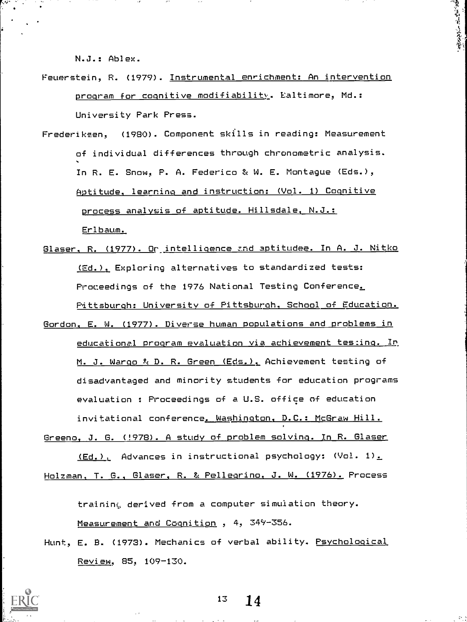N.J.: Ablex.

Feuerstein, R. (1979). Instrumental enrichment: An intervention program for cognitive modifiability. Ealtimore, Md.: University Park Press.

重新有点完善

- Frederiksen, (1980). Component skills in reading: Measurement of individual differences through chronometric analysis. In R. E. Snow, P. A. Federico & W. E. Montague (Eds.), Aptitude, learning and instruction: (Vol. 1) Cognitive process analysis of aptitude. Hillsdale, N.J.: Erl baum.
- Glaser, R. (1977). Or intelligence and aptitudee. In A. J. Nitko (Ed.), Exploring alternatives to standardized tests: Proceedings of the 1976 National Testing Conference. Pittsburgh: University of Pittsburgh, School of Education.
- Gordon, E. W. (1977). Diverse human populations and problems in educational program evaluation <u>via achievement testing. In</u> M. J. Wargo % D. R. Green (Eds.), Achievement testing of disadvantaged and minority students for education programs evaluation : Proceedings of a U.S. office of education invitational conference. Washington, D.C.: McGraw Hill.
- Greeno, J. G. (!978). A study of problem solving. In R. Glaser (Ed.), Advances in instructional psychology:  $(\forall o$ l. 1).

Holzman, T. G., Glaser, R. & Pellegrino, J. W. (1976). Process

training derived from a computer simulation theory. Measurement and Cognition , 4, 34Y-356.

Hunt, E. B. (1973). Mechanics of verbal ability. Psychological Review, 85, 109-130.

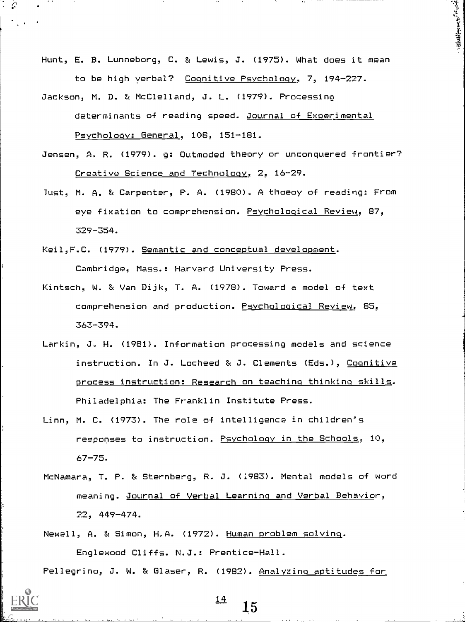Hunt, E. B. Lunneborg, C. & Lewis, J. (1975). What does it mean to be high verbal? Cognitive Psychology, 7, 194-227.

.i, <sup>I</sup>I

 $\mathcal{X}$  ]

- Jackson, M. D. & McClelland, J. L. (1979). Processino determinants of reading speed. Journal of Experimental Psychology: General, 108, 151-181.
- Jensen, A. R. (1979). g: Outmoded theory or unconquered frontier? Creative Science and Technology, 2, 16-29.
- lust, M. A. & Carpenter, P. A. (1980). A thoeoy of reading: From eye fixation to comprehension. Psychological Review, 87, 329-354.
- Keil, F.C. (1979). Semantic and conceptual development. Cambridge, Mass.: Harvard University Press.
- Kintsch, W. & Van Dijk, T. A. (1978). Toward a model of text comprehension and production. Psychological Review, 85, 363-394.
- Larkin, J. H. (1981). Information processing models and science instruction. In J. Locheed & J. Clements (Eds.), Cognitive process instruction: Research on teaching thinking skills. Philadelphia: The Franklin Institute Press.
- Linn, M. C. (1973). The role of intelligence in children's responses to instruction. Psychology in the Schools, 10, 67-75.
- McNamara, T. P. & Sternberg, R. J. (1983). Mental models of word meaning. Journal of Verbal Learning and Verbal Behavior, 22, 449-474.

Newell, A. & Simon, H.A. (1972). Human problem solving. Englewood Cliffs. N.J.: Prentice-Hall.

Pellegrino, J. W. & Glaser, R. (1982). Analyzino aptitudes for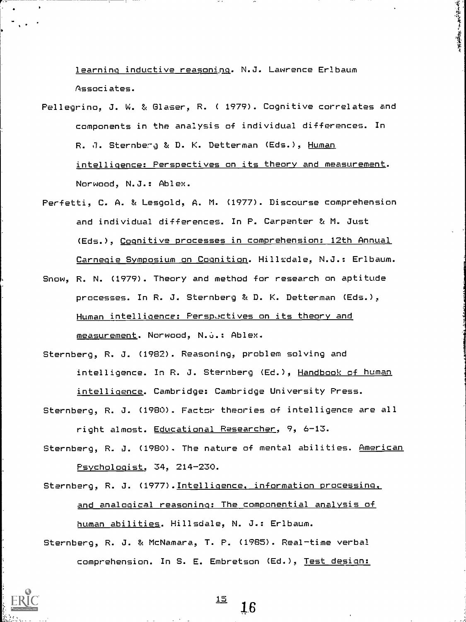learning inductive reasoning. N.J. Lawrence Erlbaum Associates.

要求出版社,不是

- Pellegrino, J. W. & Glaser, R. ( 1979). Cognitive correlates and components in the analysis of individual differences. In R. J. Sternberg & D. K. Detterman (Eds.), Human intelligence: Perspectives on its theory and measurement. Norwood, N.J.: Ablex.
- Perfetti, C. A. & Lesgold, A. M. (1977). Discourse comprehension and individual differences. In P. Carpenter & M. Just (Eds.), Cognitive processes in comprehension: 12th Annual Carnegie Symposium on Cognition. Hillsdale, N.J.: Erlbaum.
- Snow, R. N. (1979). Theory and method for research on aptitude processes. In R. J. Sternberg & D. K. Detterman (Eds.), Human intelligence: Perspectives on its theory and measurement. Norwood, N.G.: Ablex.

Sternberg, R. J. (1982). Reasoning, problem solving and intelligence. In R. J. Sternberg (Ed.), Handbook of human intelligence. Cambridge: Cambridge University Press.

Sternberg, R. J. (1980). Factor theories of intelligence are all right almost. Educational Researcher, 9, 6-13.

Sternberg, R. J. (1980). The nature of mental abilities. American Psychologist, 34, 214-230.

Sternberg, R. J. (1977),Intelligence, information processing, and analogical reasoning: The componential analysis of human abilities. Hillsdale, N. J.: Erlbaum.

Sternberg, R. J. & McNamara, T. P. (1985). Real-time verbal comprehension. In S. E. Embretson (Ed.), Test design: